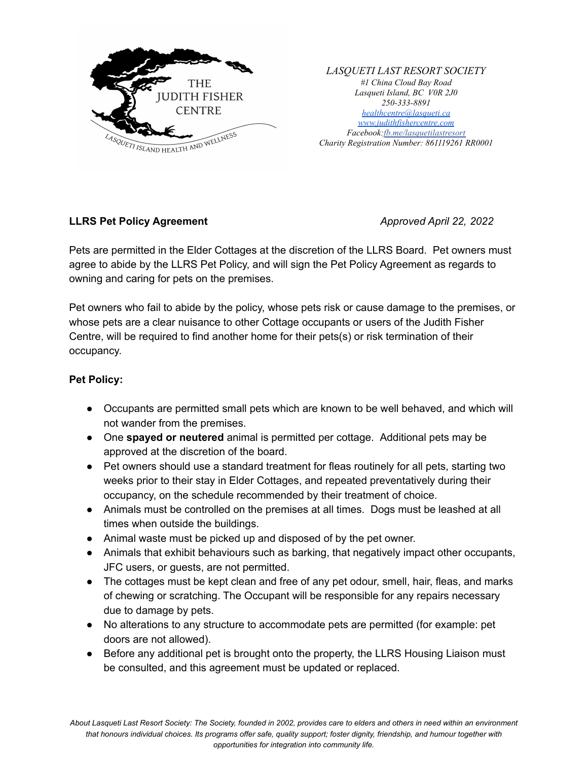

*LASQUETI LAST RESORT SOCIETY #1 China Cloud Bay Road Lasqueti Island, BC V0R 2J0 250-333-8891 [healthcentre@lasqueti.ca](mailto:healthcentre@lasqueti.ca) [www.judithfishercentre.com](http://www.judithfishercentre.com) Facebook:[fb.me/lasquetilastresort](https://fb.me/lasquetilastresort) Charity Registration Number: 861119261 RR0001*

## **LLRS Pet Policy Agreement** *Approved April 22, 2022*

Pets are permitted in the Elder Cottages at the discretion of the LLRS Board. Pet owners must agree to abide by the LLRS Pet Policy, and will sign the Pet Policy Agreement as regards to owning and caring for pets on the premises.

Pet owners who fail to abide by the policy, whose pets risk or cause damage to the premises, or whose pets are a clear nuisance to other Cottage occupants or users of the Judith Fisher Centre, will be required to find another home for their pets(s) or risk termination of their occupancy.

## **Pet Policy:**

- Occupants are permitted small pets which are known to be well behaved, and which will not wander from the premises.
- One **spayed or neutered** animal is permitted per cottage. Additional pets may be approved at the discretion of the board.
- Pet owners should use a standard treatment for fleas routinely for all pets, starting two weeks prior to their stay in Elder Cottages, and repeated preventatively during their occupancy, on the schedule recommended by their treatment of choice.
- Animals must be controlled on the premises at all times. Dogs must be leashed at all times when outside the buildings.
- Animal waste must be picked up and disposed of by the pet owner.
- Animals that exhibit behaviours such as barking, that negatively impact other occupants, JFC users, or guests, are not permitted.
- The cottages must be kept clean and free of any pet odour, smell, hair, fleas, and marks of chewing or scratching. The Occupant will be responsible for any repairs necessary due to damage by pets.
- No alterations to any structure to accommodate pets are permitted (for example: pet doors are not allowed).
- Before any additional pet is brought onto the property, the LLRS Housing Liaison must be consulted, and this agreement must be updated or replaced.

About Lasqueti Last Resort Society: The Society, founded in 2002, provides care to elders and others in need within an environment that honours individual choices. Its programs offer safe, quality support; foster dignity, friendship, and humour together with *opportunities for integration into community life.*